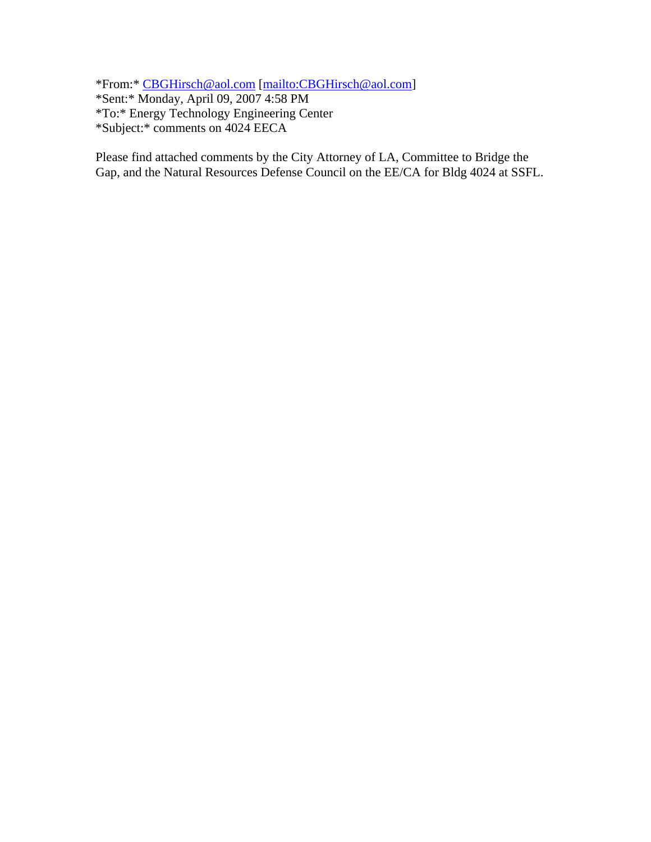\*From:\* CBGHirsch@aol.com [mailto:CBGHirsch@aol.com] \*Sent:\* Monday, April 09, 2007 4:58 PM \*To:\* Energy Technology Engineering Center \*Subject:\* comments on 4024 EECA

Please find attached comments by the City Attorney of LA, Committee to Bridge the Gap, and the Natural Resources Defense Council on the EE/CA for Bldg 4024 at SSFL.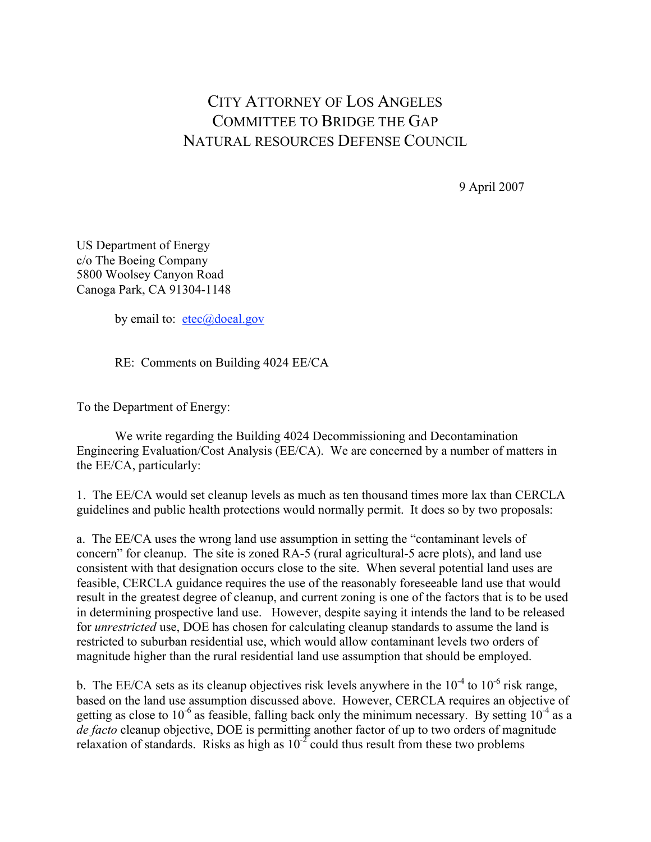## CITY ATTORNEY OF LOS ANGELES COMMITTEE TO BRIDGE THE GAP NATURAL RESOURCES DEFENSE COUNCIL

9 April 2007

US Department of Energy c/o The Boeing Company 5800 Woolsey Canyon Road Canoga Park, CA 91304-1148

by email to:  $etec(\vec{\omega})$ doeal.gov

RE: Comments on Building 4024 EE/CA

To the Department of Energy:

We write regarding the Building 4024 Decommissioning and Decontamination Engineering Evaluation/Cost Analysis (EE/CA). We are concerned by a number of matters in the EE/CA, particularly:

1. The EE/CA would set cleanup levels as much as ten thousand times more lax than CERCLA guidelines and public health protections would normally permit. It does so by two proposals:

a. The EE/CA uses the wrong land use assumption in setting the "contaminant levels of concern" for cleanup. The site is zoned RA-5 (rural agricultural-5 acre plots), and land use consistent with that designation occurs close to the site. When several potential land uses are feasible, CERCLA guidance requires the use of the reasonably foreseeable land use that would result in the greatest degree of cleanup, and current zoning is one of the factors that is to be used in determining prospective land use. However, despite saying it intends the land to be released for *unrestricted* use, DOE has chosen for calculating cleanup standards to assume the land is restricted to suburban residential use, which would allow contaminant levels two orders of magnitude higher than the rural residential land use assumption that should be employed.

b. The EE/CA sets as its cleanup objectives risk levels anywhere in the  $10^{-4}$  to  $10^{-6}$  risk range, based on the land use assumption discussed above. However, CERCLA requires an objective of getting as close to 10<sup>-6</sup> as feasible, falling back only the minimum necessary. By setting  $10^{-4}$  as a *de facto* cleanup objective, DOE is permitting another factor of up to two orders of magnitude relaxation of standards. Risks as high as  $10^{-2}$  could thus result from these two problems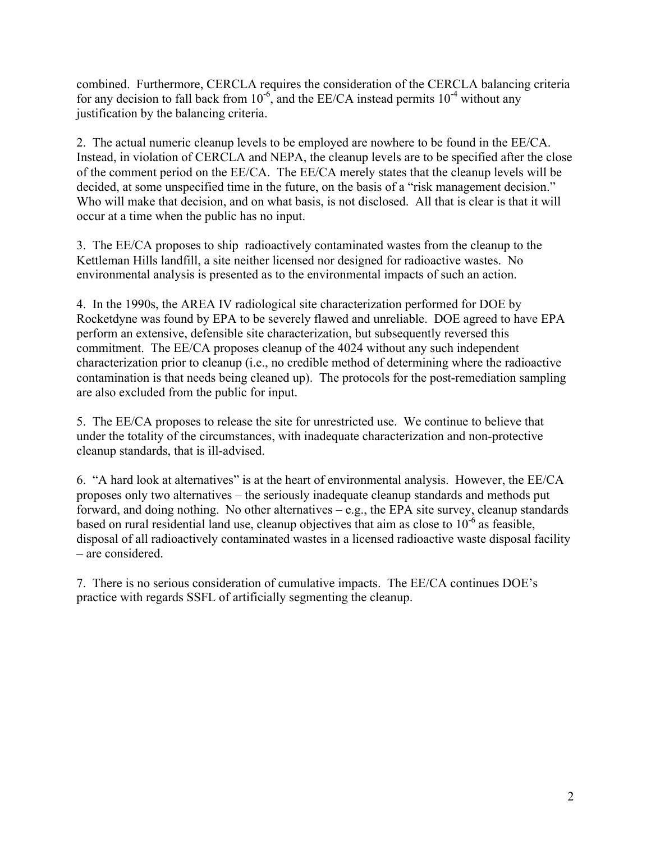combined. Furthermore, CERCLA requires the consideration of the CERCLA balancing criteria for any decision to fall back from  $10^{-6}$ , and the EE/CA instead permits  $10^{-4}$  without any justification by the balancing criteria.

2. The actual numeric cleanup levels to be employed are nowhere to be found in the EE/CA. Instead, in violation of CERCLA and NEPA, the cleanup levels are to be specified after the close of the comment period on the EE/CA. The EE/CA merely states that the cleanup levels will be decided, at some unspecified time in the future, on the basis of a "risk management decision." Who will make that decision, and on what basis, is not disclosed. All that is clear is that it will occur at a time when the public has no input.

3. The EE/CA proposes to ship radioactively contaminated wastes from the cleanup to the Kettleman Hills landfill, a site neither licensed nor designed for radioactive wastes. No environmental analysis is presented as to the environmental impacts of such an action.

4. In the 1990s, the AREA IV radiological site characterization performed for DOE by Rocketdyne was found by EPA to be severely flawed and unreliable. DOE agreed to have EPA perform an extensive, defensible site characterization, but subsequently reversed this commitment. The EE/CA proposes cleanup of the 4024 without any such independent characterization prior to cleanup (i.e., no credible method of determining where the radioactive contamination is that needs being cleaned up). The protocols for the post-remediation sampling are also excluded from the public for input.

5. The EE/CA proposes to release the site for unrestricted use. We continue to believe that under the totality of the circumstances, with inadequate characterization and non-protective cleanup standards, that is ill-advised.

6. "A hard look at alternatives" is at the heart of environmental analysis. However, the EE/CA proposes only two alternatives – the seriously inadequate cleanup standards and methods put forward, and doing nothing. No other alternatives – e.g., the EPA site survey, cleanup standards based on rural residential land use, cleanup objectives that aim as close to  $10^{-6}$  as feasible, disposal of all radioactively contaminated wastes in a licensed radioactive waste disposal facility – are considered.

7. There is no serious consideration of cumulative impacts. The EE/CA continues DOE's practice with regards SSFL of artificially segmenting the cleanup.